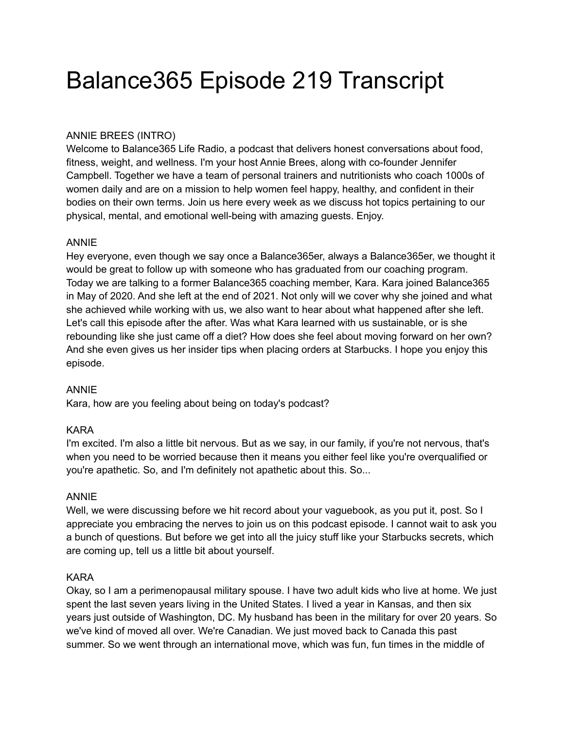# Balance365 Episode 219 Transcript

# ANNIE BREES (INTRO)

Welcome to Balance365 Life Radio, a podcast that delivers honest conversations about food, fitness, weight, and wellness. I'm your host Annie Brees, along with co-founder Jennifer Campbell. Together we have a team of personal trainers and nutritionists who coach 1000s of women daily and are on a mission to help women feel happy, healthy, and confident in their bodies on their own terms. Join us here every week as we discuss hot topics pertaining to our physical, mental, and emotional well-being with amazing guests. Enjoy.

# ANNIE

Hey everyone, even though we say once a Balance365er, always a Balance365er, we thought it would be great to follow up with someone who has graduated from our coaching program. Today we are talking to a former Balance365 coaching member, Kara. Kara joined Balance365 in May of 2020. And she left at the end of 2021. Not only will we cover why she joined and what she achieved while working with us, we also want to hear about what happened after she left. Let's call this episode after the after. Was what Kara learned with us sustainable, or is she rebounding like she just came off a diet? How does she feel about moving forward on her own? And she even gives us her insider tips when placing orders at Starbucks. I hope you enjoy this episode.

#### ANNIE

Kara, how are you feeling about being on today's podcast?

#### KARA

I'm excited. I'm also a little bit nervous. But as we say, in our family, if you're not nervous, that's when you need to be worried because then it means you either feel like you're overqualified or you're apathetic. So, and I'm definitely not apathetic about this. So...

#### ANNIE

Well, we were discussing before we hit record about your vaguebook, as you put it, post. So I appreciate you embracing the nerves to join us on this podcast episode. I cannot wait to ask you a bunch of questions. But before we get into all the juicy stuff like your Starbucks secrets, which are coming up, tell us a little bit about yourself.

# KARA

Okay, so I am a perimenopausal military spouse. I have two adult kids who live at home. We just spent the last seven years living in the United States. I lived a year in Kansas, and then six years just outside of Washington, DC. My husband has been in the military for over 20 years. So we've kind of moved all over. We're Canadian. We just moved back to Canada this past summer. So we went through an international move, which was fun, fun times in the middle of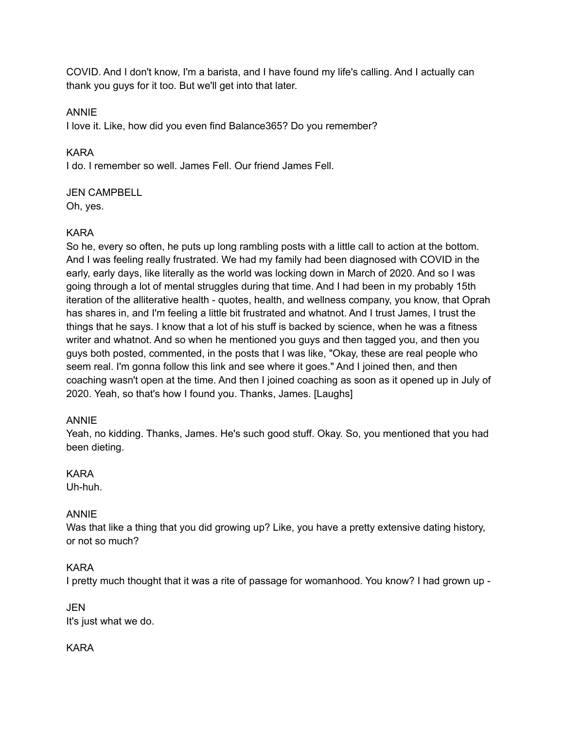COVID. And I don't know, I'm a barista, and I have found my life's calling. And I actually can thank you guys for it too. But we'll get into that later.

# ANNIE

I love it. Like, how did you even find Balance365? Do you remember?

# KARA

I do. I remember so well. James Fell. Our friend James Fell.

# JEN CAMPBELL

Oh, yes.

# KARA

So he, every so often, he puts up long rambling posts with a little call to action at the bottom. And I was feeling really frustrated. We had my family had been diagnosed with COVID in the early, early days, like literally as the world was locking down in March of 2020. And so I was going through a lot of mental struggles during that time. And I had been in my probably 15th iteration of the alliterative health - quotes, health, and wellness company, you know, that Oprah has shares in, and I'm feeling a little bit frustrated and whatnot. And I trust James, I trust the things that he says. I know that a lot of his stuff is backed by science, when he was a fitness writer and whatnot. And so when he mentioned you guys and then tagged you, and then you guys both posted, commented, in the posts that I was like, "Okay, these are real people who seem real. I'm gonna follow this link and see where it goes." And I joined then, and then coaching wasn't open at the time. And then I joined coaching as soon as it opened up in July of 2020. Yeah, so that's how I found you. Thanks, James. [Laughs]

# ANNIE

Yeah, no kidding. Thanks, James. He's such good stuff. Okay. So, you mentioned that you had been dieting.

# KARA

Uh-huh.

# ANNIE

Was that like a thing that you did growing up? Like, you have a pretty extensive dating history, or not so much?

# KARA

I pretty much thought that it was a rite of passage for womanhood. You know? I had grown up -

JEN It's just what we do.

# KARA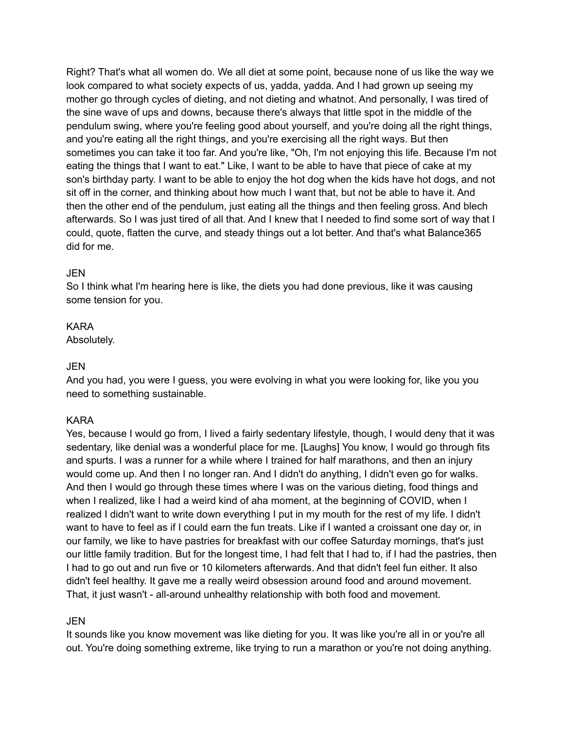Right? That's what all women do. We all diet at some point, because none of us like the way we look compared to what society expects of us, yadda, yadda. And I had grown up seeing my mother go through cycles of dieting, and not dieting and whatnot. And personally, I was tired of the sine wave of ups and downs, because there's always that little spot in the middle of the pendulum swing, where you're feeling good about yourself, and you're doing all the right things, and you're eating all the right things, and you're exercising all the right ways. But then sometimes you can take it too far. And you're like, "Oh, I'm not enjoying this life. Because I'm not eating the things that I want to eat." Like, I want to be able to have that piece of cake at my son's birthday party. I want to be able to enjoy the hot dog when the kids have hot dogs, and not sit off in the corner, and thinking about how much I want that, but not be able to have it. And then the other end of the pendulum, just eating all the things and then feeling gross. And blech afterwards. So I was just tired of all that. And I knew that I needed to find some sort of way that I could, quote, flatten the curve, and steady things out a lot better. And that's what Balance365 did for me.

# JEN

So I think what I'm hearing here is like, the diets you had done previous, like it was causing some tension for you.

# KARA

Absolutely.

# JEN

And you had, you were I guess, you were evolving in what you were looking for, like you you need to something sustainable.

# KARA

Yes, because I would go from, I lived a fairly sedentary lifestyle, though, I would deny that it was sedentary, like denial was a wonderful place for me. [Laughs] You know, I would go through fits and spurts. I was a runner for a while where I trained for half marathons, and then an injury would come up. And then I no longer ran. And I didn't do anything, I didn't even go for walks. And then I would go through these times where I was on the various dieting, food things and when I realized, like I had a weird kind of aha moment, at the beginning of COVID, when I realized I didn't want to write down everything I put in my mouth for the rest of my life. I didn't want to have to feel as if I could earn the fun treats. Like if I wanted a croissant one day or, in our family, we like to have pastries for breakfast with our coffee Saturday mornings, that's just our little family tradition. But for the longest time, I had felt that I had to, if I had the pastries, then I had to go out and run five or 10 kilometers afterwards. And that didn't feel fun either. It also didn't feel healthy. It gave me a really weird obsession around food and around movement. That, it just wasn't - all-around unhealthy relationship with both food and movement.

# JEN

It sounds like you know movement was like dieting for you. It was like you're all in or you're all out. You're doing something extreme, like trying to run a marathon or you're not doing anything.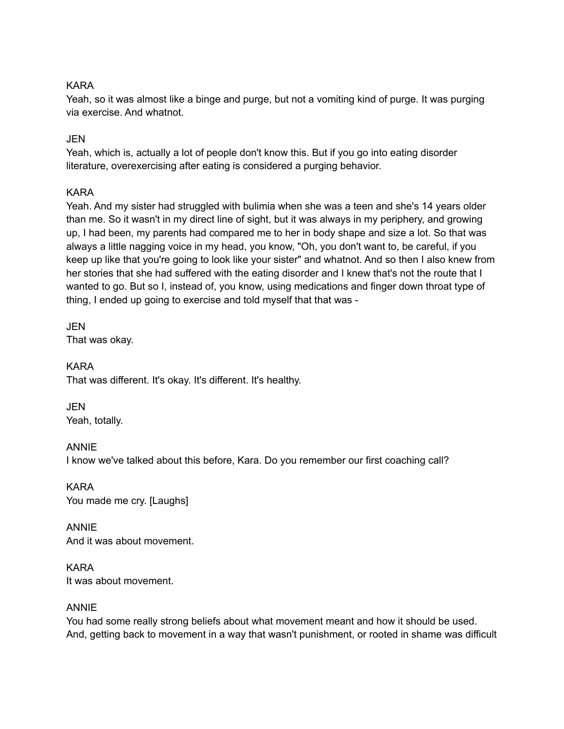# KARA

Yeah, so it was almost like a binge and purge, but not a vomiting kind of purge. It was purging via exercise. And whatnot.

# JEN

Yeah, which is, actually a lot of people don't know this. But if you go into eating disorder literature, overexercising after eating is considered a purging behavior.

# KARA

Yeah. And my sister had struggled with bulimia when she was a teen and she's 14 years older than me. So it wasn't in my direct line of sight, but it was always in my periphery, and growing up, I had been, my parents had compared me to her in body shape and size a lot. So that was always a little nagging voice in my head, you know, "Oh, you don't want to, be careful, if you keep up like that you're going to look like your sister" and whatnot. And so then I also knew from her stories that she had suffered with the eating disorder and I knew that's not the route that I wanted to go. But so I, instead of, you know, using medications and finger down throat type of thing, I ended up going to exercise and told myself that that was -

JEN That was okay.

KARA That was different. It's okay. It's different. It's healthy.

JEN Yeah, totally.

ANNIE I know we've talked about this before, Kara. Do you remember our first coaching call?

KARA You made me cry. [Laughs]

ANNIE And it was about movement.

KARA It was about movement.

# ANNIE

You had some really strong beliefs about what movement meant and how it should be used. And, getting back to movement in a way that wasn't punishment, or rooted in shame was difficult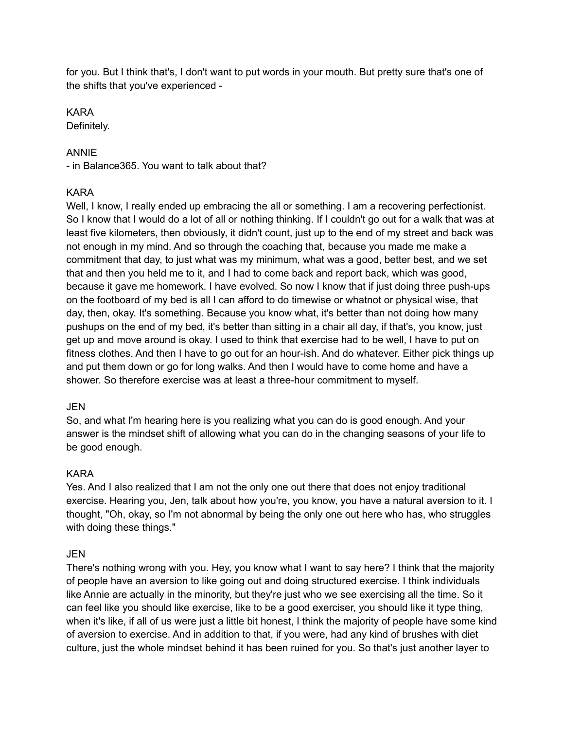for you. But I think that's, I don't want to put words in your mouth. But pretty sure that's one of the shifts that you've experienced -

# KARA

Definitely.

# ANNIE

- in Balance365. You want to talk about that?

# KARA

Well, I know, I really ended up embracing the all or something. I am a recovering perfectionist. So I know that I would do a lot of all or nothing thinking. If I couldn't go out for a walk that was at least five kilometers, then obviously, it didn't count, just up to the end of my street and back was not enough in my mind. And so through the coaching that, because you made me make a commitment that day, to just what was my minimum, what was a good, better best, and we set that and then you held me to it, and I had to come back and report back, which was good, because it gave me homework. I have evolved. So now I know that if just doing three push-ups on the footboard of my bed is all I can afford to do timewise or whatnot or physical wise, that day, then, okay. It's something. Because you know what, it's better than not doing how many pushups on the end of my bed, it's better than sitting in a chair all day, if that's, you know, just get up and move around is okay. I used to think that exercise had to be well, I have to put on fitness clothes. And then I have to go out for an hour-ish. And do whatever. Either pick things up and put them down or go for long walks. And then I would have to come home and have a shower. So therefore exercise was at least a three-hour commitment to myself.

# JEN

So, and what I'm hearing here is you realizing what you can do is good enough. And your answer is the mindset shift of allowing what you can do in the changing seasons of your life to be good enough.

# KARA

Yes. And I also realized that I am not the only one out there that does not enjoy traditional exercise. Hearing you, Jen, talk about how you're, you know, you have a natural aversion to it. I thought, "Oh, okay, so I'm not abnormal by being the only one out here who has, who struggles with doing these things."

# JEN

There's nothing wrong with you. Hey, you know what I want to say here? I think that the majority of people have an aversion to like going out and doing structured exercise. I think individuals like Annie are actually in the minority, but they're just who we see exercising all the time. So it can feel like you should like exercise, like to be a good exerciser, you should like it type thing, when it's like, if all of us were just a little bit honest, I think the majority of people have some kind of aversion to exercise. And in addition to that, if you were, had any kind of brushes with diet culture, just the whole mindset behind it has been ruined for you. So that's just another layer to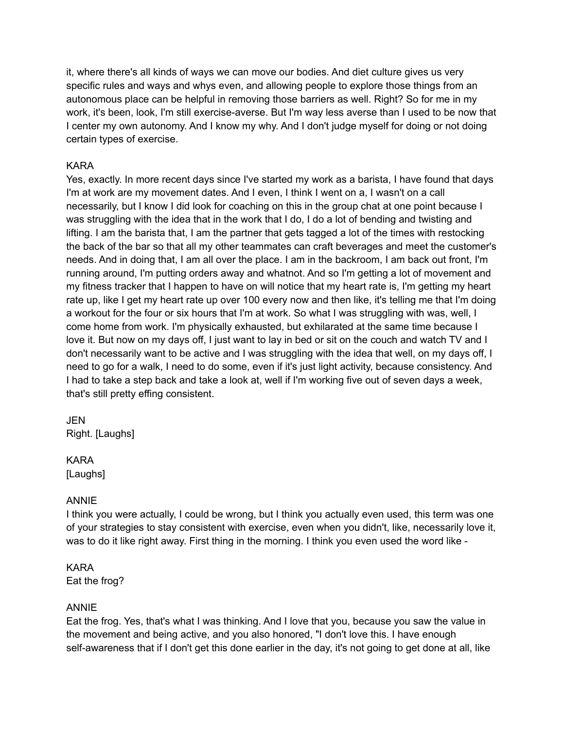it, where there's all kinds of ways we can move our bodies. And diet culture gives us very specific rules and ways and whys even, and allowing people to explore those things from an autonomous place can be helpful in removing those barriers as well. Right? So for me in my work, it's been, look, I'm still exercise-averse. But I'm way less averse than I used to be now that I center my own autonomy. And I know my why. And I don't judge myself for doing or not doing certain types of exercise.

# KARA

Yes, exactly. In more recent days since I've started my work as a barista, I have found that days I'm at work are my movement dates. And I even, I think I went on a, I wasn't on a call necessarily, but I know I did look for coaching on this in the group chat at one point because I was struggling with the idea that in the work that I do, I do a lot of bending and twisting and lifting. I am the barista that, I am the partner that gets tagged a lot of the times with restocking the back of the bar so that all my other teammates can craft beverages and meet the customer's needs. And in doing that, I am all over the place. I am in the backroom, I am back out front, I'm running around, I'm putting orders away and whatnot. And so I'm getting a lot of movement and my fitness tracker that I happen to have on will notice that my heart rate is, I'm getting my heart rate up, like I get my heart rate up over 100 every now and then like, it's telling me that I'm doing a workout for the four or six hours that I'm at work. So what I was struggling with was, well, I come home from work. I'm physically exhausted, but exhilarated at the same time because I love it. But now on my days off, I just want to lay in bed or sit on the couch and watch TV and I don't necessarily want to be active and I was struggling with the idea that well, on my days off, I need to go for a walk, I need to do some, even if it's just light activity, because consistency. And I had to take a step back and take a look at, well if I'm working five out of seven days a week, that's still pretty effing consistent.

# JEN Right. [Laughs]

#### KARA

[Laughs]

# ANNIE

I think you were actually, I could be wrong, but I think you actually even used, this term was one of your strategies to stay consistent with exercise, even when you didn't, like, necessarily love it, was to do it like right away. First thing in the morning. I think you even used the word like -

# KARA

Eat the frog?

# ANNIE

Eat the frog. Yes, that's what I was thinking. And I love that you, because you saw the value in the movement and being active, and you also honored, "I don't love this. I have enough self-awareness that if I don't get this done earlier in the day, it's not going to get done at all, like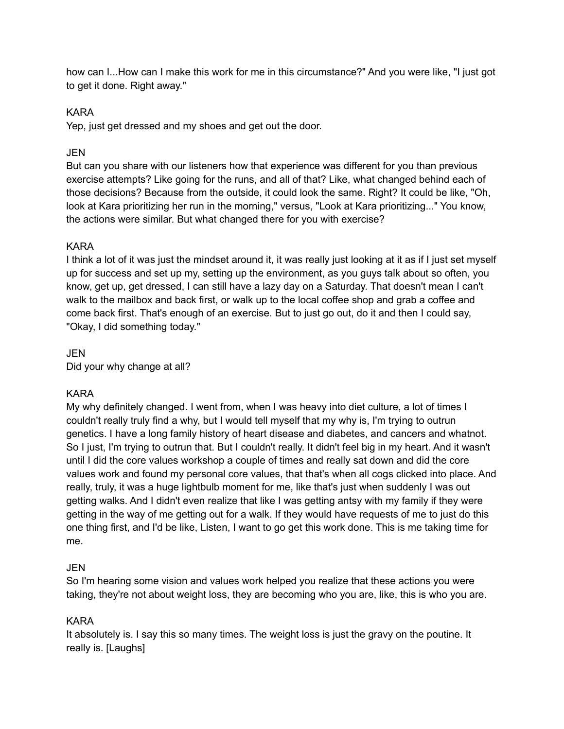how can I...How can I make this work for me in this circumstance?" And you were like, "I just got to get it done. Right away."

# KARA

Yep, just get dressed and my shoes and get out the door.

# JEN

But can you share with our listeners how that experience was different for you than previous exercise attempts? Like going for the runs, and all of that? Like, what changed behind each of those decisions? Because from the outside, it could look the same. Right? It could be like, "Oh, look at Kara prioritizing her run in the morning," versus, "Look at Kara prioritizing..." You know, the actions were similar. But what changed there for you with exercise?

# KARA

I think a lot of it was just the mindset around it, it was really just looking at it as if I just set myself up for success and set up my, setting up the environment, as you guys talk about so often, you know, get up, get dressed, I can still have a lazy day on a Saturday. That doesn't mean I can't walk to the mailbox and back first, or walk up to the local coffee shop and grab a coffee and come back first. That's enough of an exercise. But to just go out, do it and then I could say, "Okay, I did something today."

JEN Did your why change at all?

# KARA

My why definitely changed. I went from, when I was heavy into diet culture, a lot of times I couldn't really truly find a why, but I would tell myself that my why is, I'm trying to outrun genetics. I have a long family history of heart disease and diabetes, and cancers and whatnot. So I just, I'm trying to outrun that. But I couldn't really. It didn't feel big in my heart. And it wasn't until I did the core values workshop a couple of times and really sat down and did the core values work and found my personal core values, that that's when all cogs clicked into place. And really, truly, it was a huge lightbulb moment for me, like that's just when suddenly I was out getting walks. And I didn't even realize that like I was getting antsy with my family if they were getting in the way of me getting out for a walk. If they would have requests of me to just do this one thing first, and I'd be like, Listen, I want to go get this work done. This is me taking time for me.

#### JEN

So I'm hearing some vision and values work helped you realize that these actions you were taking, they're not about weight loss, they are becoming who you are, like, this is who you are.

#### KARA

It absolutely is. I say this so many times. The weight loss is just the gravy on the poutine. It really is. [Laughs]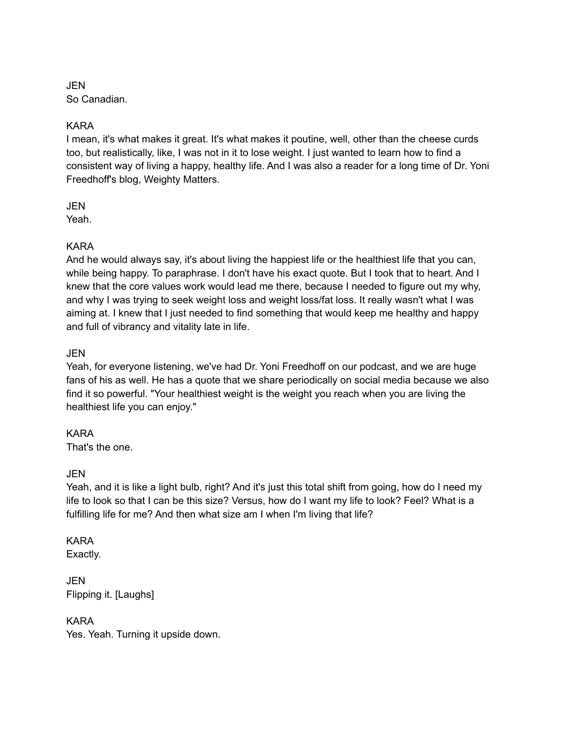JEN So Canadian.

# KARA

I mean, it's what makes it great. It's what makes it poutine, well, other than the cheese curds too, but realistically, like, I was not in it to lose weight. I just wanted to learn how to find a consistent way of living a happy, healthy life. And I was also a reader for a long time of Dr. Yoni Freedhoff's blog, Weighty Matters.

JEN

Yeah.

# KARA

And he would always say, it's about living the happiest life or the healthiest life that you can, while being happy. To paraphrase. I don't have his exact quote. But I took that to heart. And I knew that the core values work would lead me there, because I needed to figure out my why, and why I was trying to seek weight loss and weight loss/fat loss. It really wasn't what I was aiming at. I knew that I just needed to find something that would keep me healthy and happy and full of vibrancy and vitality late in life.

# JEN

Yeah, for everyone listening, we've had Dr. Yoni Freedhoff on our podcast, and we are huge fans of his as well. He has a quote that we share periodically on social media because we also find it so powerful. "Your healthiest weight is the weight you reach when you are living the healthiest life you can enjoy."

# KARA

That's the one.

# JEN

Yeah, and it is like a light bulb, right? And it's just this total shift from going, how do I need my life to look so that I can be this size? Versus, how do I want my life to look? Feel? What is a fulfilling life for me? And then what size am I when I'm living that life?

# KARA

Exactly.

JEN Flipping it. [Laughs]

# KARA

Yes. Yeah. Turning it upside down.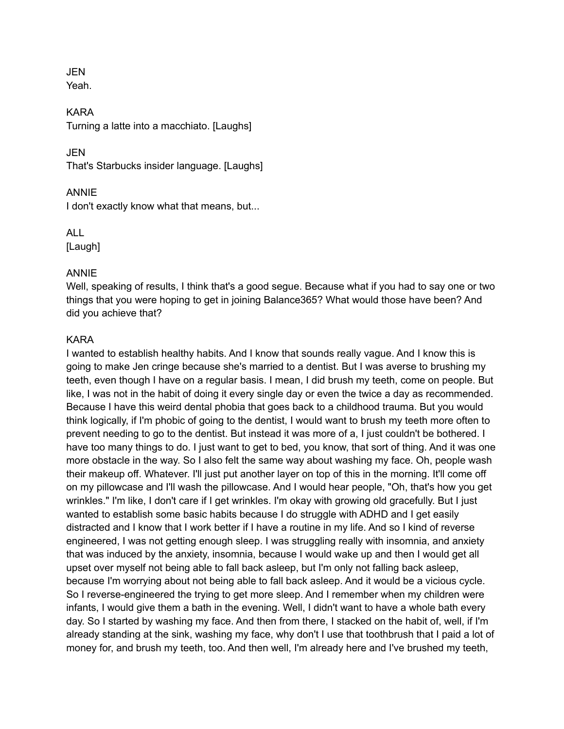# JEN

Yeah.

KARA Turning a latte into a macchiato. [Laughs]

JEN

That's Starbucks insider language. [Laughs]

# ANNIE

I don't exactly know what that means, but...

ALL [Laugh]

# ANNIE

Well, speaking of results, I think that's a good segue. Because what if you had to say one or two things that you were hoping to get in joining Balance365? What would those have been? And did you achieve that?

# KARA

I wanted to establish healthy habits. And I know that sounds really vague. And I know this is going to make Jen cringe because she's married to a dentist. But I was averse to brushing my teeth, even though I have on a regular basis. I mean, I did brush my teeth, come on people. But like, I was not in the habit of doing it every single day or even the twice a day as recommended. Because I have this weird dental phobia that goes back to a childhood trauma. But you would think logically, if I'm phobic of going to the dentist, I would want to brush my teeth more often to prevent needing to go to the dentist. But instead it was more of a, I just couldn't be bothered. I have too many things to do. I just want to get to bed, you know, that sort of thing. And it was one more obstacle in the way. So I also felt the same way about washing my face. Oh, people wash their makeup off. Whatever. I'll just put another layer on top of this in the morning. It'll come off on my pillowcase and I'll wash the pillowcase. And I would hear people, "Oh, that's how you get wrinkles." I'm like, I don't care if I get wrinkles. I'm okay with growing old gracefully. But I just wanted to establish some basic habits because I do struggle with ADHD and I get easily distracted and I know that I work better if I have a routine in my life. And so I kind of reverse engineered, I was not getting enough sleep. I was struggling really with insomnia, and anxiety that was induced by the anxiety, insomnia, because I would wake up and then I would get all upset over myself not being able to fall back asleep, but I'm only not falling back asleep, because I'm worrying about not being able to fall back asleep. And it would be a vicious cycle. So I reverse-engineered the trying to get more sleep. And I remember when my children were infants, I would give them a bath in the evening. Well, I didn't want to have a whole bath every day. So I started by washing my face. And then from there, I stacked on the habit of, well, if I'm already standing at the sink, washing my face, why don't I use that toothbrush that I paid a lot of money for, and brush my teeth, too. And then well, I'm already here and I've brushed my teeth,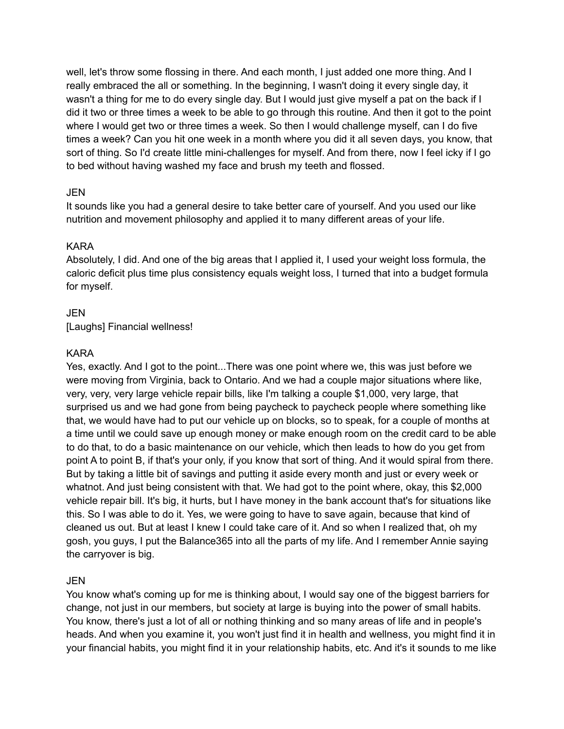well, let's throw some flossing in there. And each month, I just added one more thing. And I really embraced the all or something. In the beginning, I wasn't doing it every single day, it wasn't a thing for me to do every single day. But I would just give myself a pat on the back if I did it two or three times a week to be able to go through this routine. And then it got to the point where I would get two or three times a week. So then I would challenge myself, can I do five times a week? Can you hit one week in a month where you did it all seven days, you know, that sort of thing. So I'd create little mini-challenges for myself. And from there, now I feel icky if I go to bed without having washed my face and brush my teeth and flossed.

# **JEN**

It sounds like you had a general desire to take better care of yourself. And you used our like nutrition and movement philosophy and applied it to many different areas of your life.

# KARA

Absolutely, I did. And one of the big areas that I applied it, I used your weight loss formula, the caloric deficit plus time plus consistency equals weight loss, I turned that into a budget formula for myself.

# JEN

[Laughs] Financial wellness!

# KARA

Yes, exactly. And I got to the point...There was one point where we, this was just before we were moving from Virginia, back to Ontario. And we had a couple major situations where like, very, very, very large vehicle repair bills, like I'm talking a couple \$1,000, very large, that surprised us and we had gone from being paycheck to paycheck people where something like that, we would have had to put our vehicle up on blocks, so to speak, for a couple of months at a time until we could save up enough money or make enough room on the credit card to be able to do that, to do a basic maintenance on our vehicle, which then leads to how do you get from point A to point B, if that's your only, if you know that sort of thing. And it would spiral from there. But by taking a little bit of savings and putting it aside every month and just or every week or whatnot. And just being consistent with that. We had got to the point where, okay, this \$2,000 vehicle repair bill. It's big, it hurts, but I have money in the bank account that's for situations like this. So I was able to do it. Yes, we were going to have to save again, because that kind of cleaned us out. But at least I knew I could take care of it. And so when I realized that, oh my gosh, you guys, I put the Balance365 into all the parts of my life. And I remember Annie saying the carryover is big.

# JEN

You know what's coming up for me is thinking about, I would say one of the biggest barriers for change, not just in our members, but society at large is buying into the power of small habits. You know, there's just a lot of all or nothing thinking and so many areas of life and in people's heads. And when you examine it, you won't just find it in health and wellness, you might find it in your financial habits, you might find it in your relationship habits, etc. And it's it sounds to me like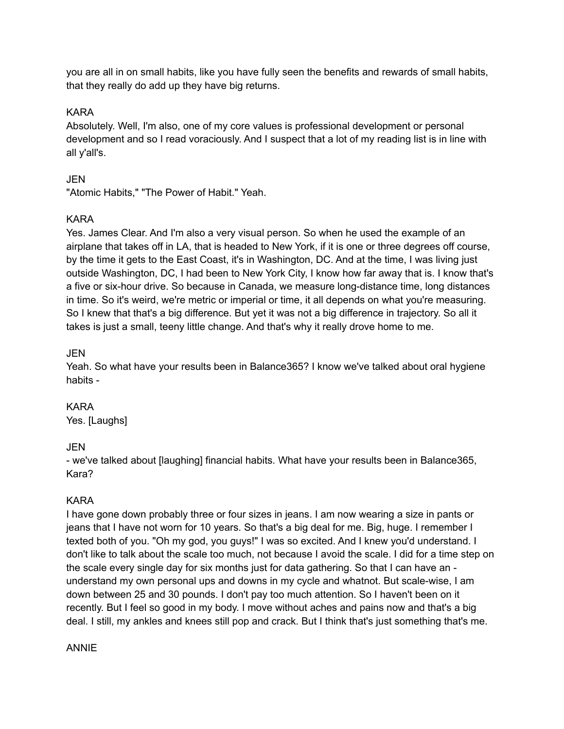you are all in on small habits, like you have fully seen the benefits and rewards of small habits, that they really do add up they have big returns.

# KARA

Absolutely. Well, I'm also, one of my core values is professional development or personal development and so I read voraciously. And I suspect that a lot of my reading list is in line with all y'all's.

# JEN

"Atomic Habits," "The Power of Habit." Yeah.

# KARA

Yes. James Clear. And I'm also a very visual person. So when he used the example of an airplane that takes off in LA, that is headed to New York, if it is one or three degrees off course, by the time it gets to the East Coast, it's in Washington, DC. And at the time, I was living just outside Washington, DC, I had been to New York City, I know how far away that is. I know that's a five or six-hour drive. So because in Canada, we measure long-distance time, long distances in time. So it's weird, we're metric or imperial or time, it all depends on what you're measuring. So I knew that that's a big difference. But yet it was not a big difference in trajectory. So all it takes is just a small, teeny little change. And that's why it really drove home to me.

# JEN

Yeah. So what have your results been in Balance365? I know we've talked about oral hygiene habits -

# KARA

Yes. [Laughs]

# JEN

- we've talked about [laughing] financial habits. What have your results been in Balance365, Kara?

# KARA

I have gone down probably three or four sizes in jeans. I am now wearing a size in pants or jeans that I have not worn for 10 years. So that's a big deal for me. Big, huge. I remember I texted both of you. "Oh my god, you guys!" I was so excited. And I knew you'd understand. I don't like to talk about the scale too much, not because I avoid the scale. I did for a time step on the scale every single day for six months just for data gathering. So that I can have an understand my own personal ups and downs in my cycle and whatnot. But scale-wise, I am down between 25 and 30 pounds. I don't pay too much attention. So I haven't been on it recently. But I feel so good in my body. I move without aches and pains now and that's a big deal. I still, my ankles and knees still pop and crack. But I think that's just something that's me.

#### ANNIE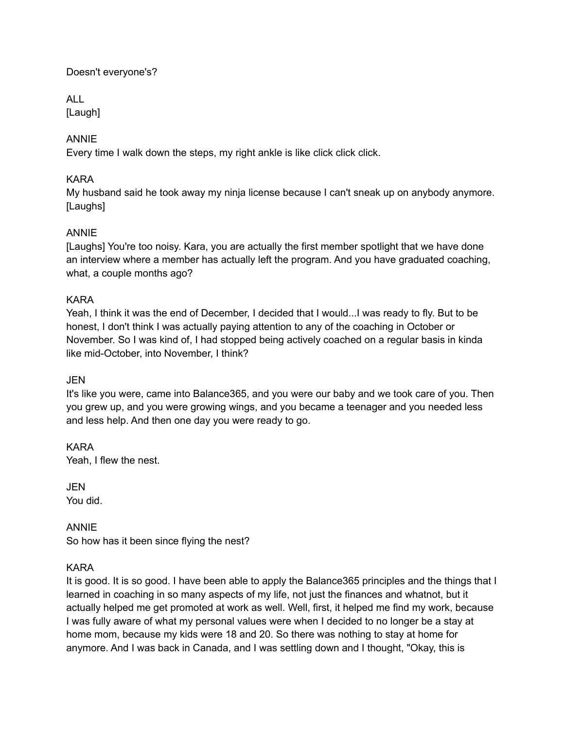# Doesn't everyone's?

ALL

[Laugh]

# ANNIE

Every time I walk down the steps, my right ankle is like click click click.

# KARA

My husband said he took away my ninja license because I can't sneak up on anybody anymore. [Laughs]

# ANNIE

[Laughs] You're too noisy. Kara, you are actually the first member spotlight that we have done an interview where a member has actually left the program. And you have graduated coaching, what, a couple months ago?

# KARA

Yeah, I think it was the end of December, I decided that I would...I was ready to fly. But to be honest, I don't think I was actually paying attention to any of the coaching in October or November. So I was kind of, I had stopped being actively coached on a regular basis in kinda like mid-October, into November, I think?

# JEN

It's like you were, came into Balance365, and you were our baby and we took care of you. Then you grew up, and you were growing wings, and you became a teenager and you needed less and less help. And then one day you were ready to go.

KARA Yeah, I flew the nest.

JEN You did.

ANNIE So how has it been since flying the nest?

# KARA

It is good. It is so good. I have been able to apply the Balance365 principles and the things that I learned in coaching in so many aspects of my life, not just the finances and whatnot, but it actually helped me get promoted at work as well. Well, first, it helped me find my work, because I was fully aware of what my personal values were when I decided to no longer be a stay at home mom, because my kids were 18 and 20. So there was nothing to stay at home for anymore. And I was back in Canada, and I was settling down and I thought, "Okay, this is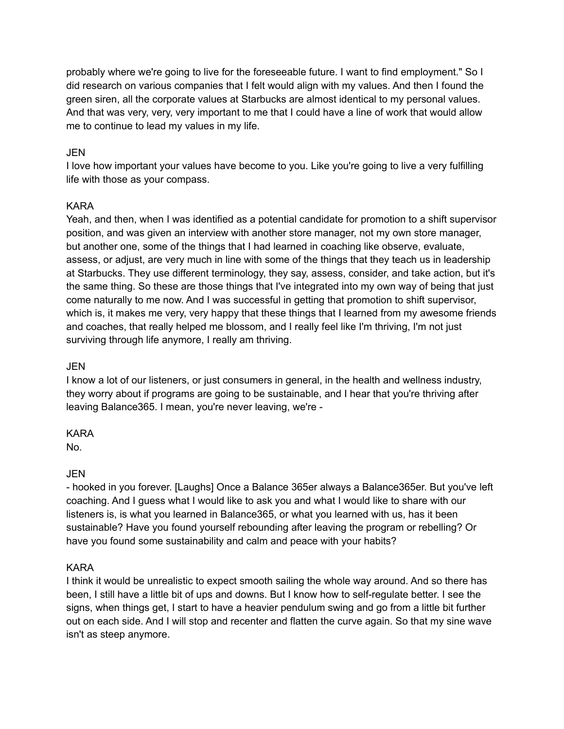probably where we're going to live for the foreseeable future. I want to find employment." So I did research on various companies that I felt would align with my values. And then I found the green siren, all the corporate values at Starbucks are almost identical to my personal values. And that was very, very, very important to me that I could have a line of work that would allow me to continue to lead my values in my life.

# JEN

I love how important your values have become to you. Like you're going to live a very fulfilling life with those as your compass.

# KARA

Yeah, and then, when I was identified as a potential candidate for promotion to a shift supervisor position, and was given an interview with another store manager, not my own store manager, but another one, some of the things that I had learned in coaching like observe, evaluate, assess, or adjust, are very much in line with some of the things that they teach us in leadership at Starbucks. They use different terminology, they say, assess, consider, and take action, but it's the same thing. So these are those things that I've integrated into my own way of being that just come naturally to me now. And I was successful in getting that promotion to shift supervisor, which is, it makes me very, very happy that these things that I learned from my awesome friends and coaches, that really helped me blossom, and I really feel like I'm thriving, I'm not just surviving through life anymore, I really am thriving.

# JEN

I know a lot of our listeners, or just consumers in general, in the health and wellness industry, they worry about if programs are going to be sustainable, and I hear that you're thriving after leaving Balance365. I mean, you're never leaving, we're -

# KARA

No.

# JEN

- hooked in you forever. [Laughs] Once a Balance 365er always a Balance365er. But you've left coaching. And I guess what I would like to ask you and what I would like to share with our listeners is, is what you learned in Balance365, or what you learned with us, has it been sustainable? Have you found yourself rebounding after leaving the program or rebelling? Or have you found some sustainability and calm and peace with your habits?

# KARA

I think it would be unrealistic to expect smooth sailing the whole way around. And so there has been, I still have a little bit of ups and downs. But I know how to self-regulate better. I see the signs, when things get, I start to have a heavier pendulum swing and go from a little bit further out on each side. And I will stop and recenter and flatten the curve again. So that my sine wave isn't as steep anymore.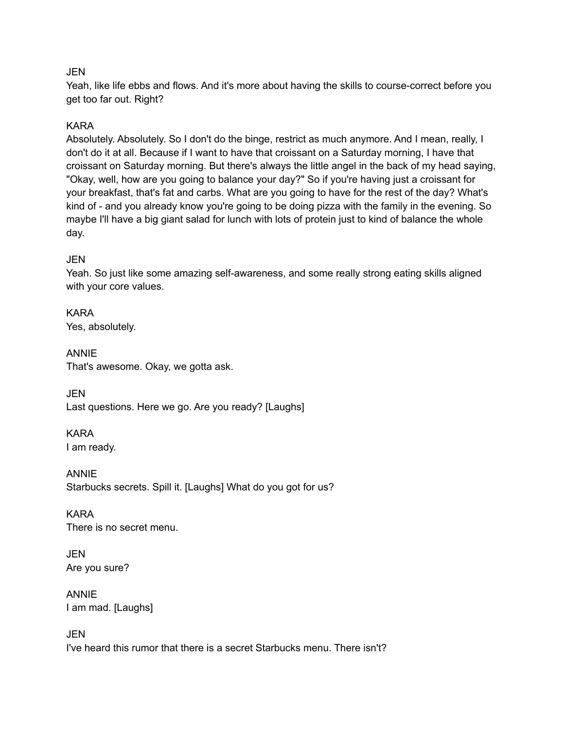# **JEN**

Yeah, like life ebbs and flows. And it's more about having the skills to course-correct before you get too far out. Right?

# KARA

Absolutely. Absolutely. So I don't do the binge, restrict as much anymore. And I mean, really, I don't do it at all. Because if I want to have that croissant on a Saturday morning, I have that croissant on Saturday morning. But there's always the little angel in the back of my head saying, "Okay, well, how are you going to balance your day?" So if you're having just a croissant for your breakfast, that's fat and carbs. What are you going to have for the rest of the day? What's kind of - and you already know you're going to be doing pizza with the family in the evening. So maybe I'll have a big giant salad for lunch with lots of protein just to kind of balance the whole day.

# JEN

Yeah. So just like some amazing self-awareness, and some really strong eating skills aligned with your core values.

KARA Yes, absolutely.

ANNIE That's awesome. Okay, we gotta ask.

JEN Last questions. Here we go. Are you ready? [Laughs]

KARA I am ready.

ANNIE Starbucks secrets. Spill it. [Laughs] What do you got for us?

KARA There is no secret menu.

JEN Are you sure?

ANNIE I am mad. [Laughs]

JEN I've heard this rumor that there is a secret Starbucks menu. There isn't?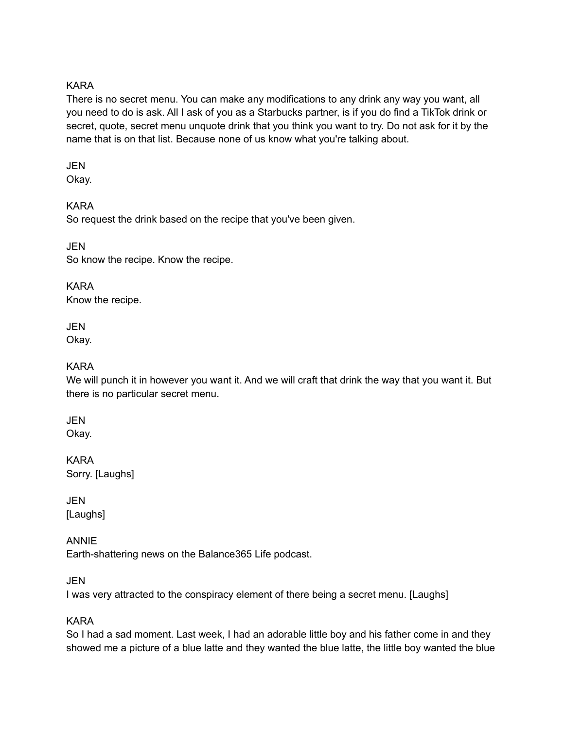# KARA

There is no secret menu. You can make any modifications to any drink any way you want, all you need to do is ask. All I ask of you as a Starbucks partner, is if you do find a TikTok drink or secret, quote, secret menu unquote drink that you think you want to try. Do not ask for it by the name that is on that list. Because none of us know what you're talking about.

#### JEN

Okay.

# KARA

So request the drink based on the recipe that you've been given.

JEN So know the recipe. Know the recipe.

KARA Know the recipe.

**JEN** Okay.

# KARA

We will punch it in however you want it. And we will craft that drink the way that you want it. But there is no particular secret menu.

# **JEN**

Okay.

KARA Sorry. [Laughs]

**JEN** [Laughs]

# ANNIE

Earth-shattering news on the Balance365 Life podcast.

# JEN

I was very attracted to the conspiracy element of there being a secret menu. [Laughs]

# KARA

So I had a sad moment. Last week, I had an adorable little boy and his father come in and they showed me a picture of a blue latte and they wanted the blue latte, the little boy wanted the blue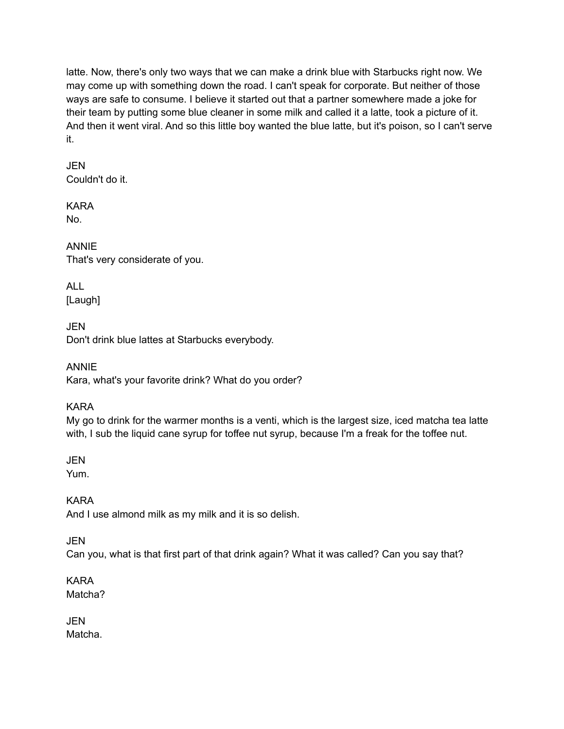latte. Now, there's only two ways that we can make a drink blue with Starbucks right now. We may come up with something down the road. I can't speak for corporate. But neither of those ways are safe to consume. I believe it started out that a partner somewhere made a joke for their team by putting some blue cleaner in some milk and called it a latte, took a picture of it. And then it went viral. And so this little boy wanted the blue latte, but it's poison, so I can't serve it.

# JEN Couldn't do it.

KARA No.

ANNIE That's very considerate of you.

ALL [Laugh]

**JEN** Don't drink blue lattes at Starbucks everybody.

ANNIE Kara, what's your favorite drink? What do you order?

KARA

My go to drink for the warmer months is a venti, which is the largest size, iced matcha tea latte with, I sub the liquid cane syrup for toffee nut syrup, because I'm a freak for the toffee nut.

JEN

Yum.

KARA

And I use almond milk as my milk and it is so delish.

JEN

Can you, what is that first part of that drink again? What it was called? Can you say that?

KARA Matcha?

JEN Matcha.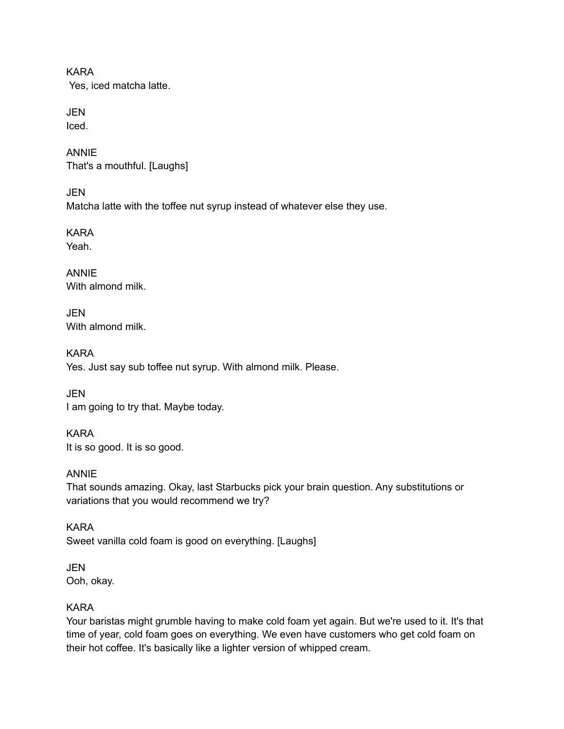KARA Yes, iced matcha latte.

JEN Iced.

ANNIE That's a mouthful. [Laughs]

**JEN** Matcha latte with the toffee nut syrup instead of whatever else they use.

KARA Yeah.

ANNIE With almond milk.

JEN With almond milk

KARA Yes. Just say sub toffee nut syrup. With almond milk. Please.

**JEN** I am going to try that. Maybe today.

KARA It is so good. It is so good.

ANNIE That sounds amazing. Okay, last Starbucks pick your brain question. Any substitutions or variations that you would recommend we try?

KARA Sweet vanilla cold foam is good on everything. [Laughs]

JEN Ooh, okay.

# KARA

Your baristas might grumble having to make cold foam yet again. But we're used to it. It's that time of year, cold foam goes on everything. We even have customers who get cold foam on their hot coffee. It's basically like a lighter version of whipped cream.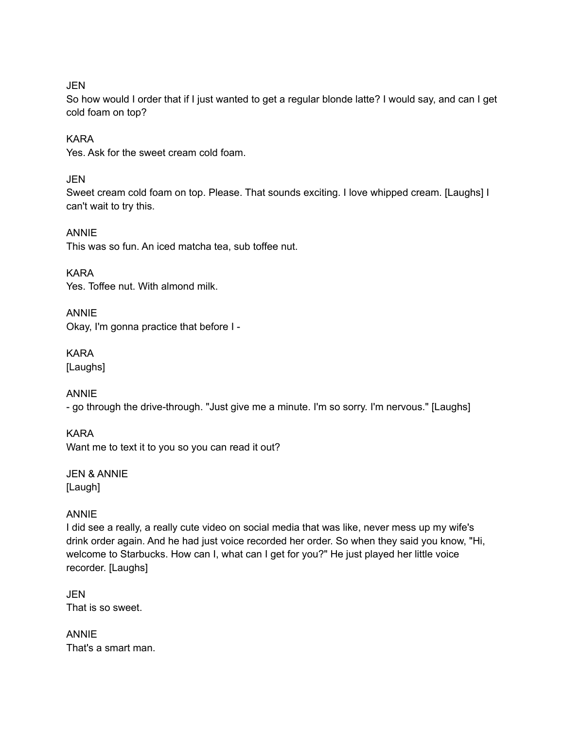JEN

So how would I order that if I just wanted to get a regular blonde latte? I would say, and can I get cold foam on top?

# KARA

Yes. Ask for the sweet cream cold foam.

JEN

Sweet cream cold foam on top. Please. That sounds exciting. I love whipped cream. [Laughs] I can't wait to try this.

ANNIE This was so fun. An iced matcha tea, sub toffee nut.

KARA Yes. Toffee nut. With almond milk.

ANNIE Okay, I'm gonna practice that before I -

KARA [Laughs]

ANNIE

- go through the drive-through. "Just give me a minute. I'm so sorry. I'm nervous." [Laughs]

KARA Want me to text it to you so you can read it out?

JEN & ANNIE [Laugh]

ANNIE

I did see a really, a really cute video on social media that was like, never mess up my wife's drink order again. And he had just voice recorded her order. So when they said you know, "Hi, welcome to Starbucks. How can I, what can I get for you?" He just played her little voice recorder. [Laughs]

JEN That is so sweet.

ANNIE That's a smart man.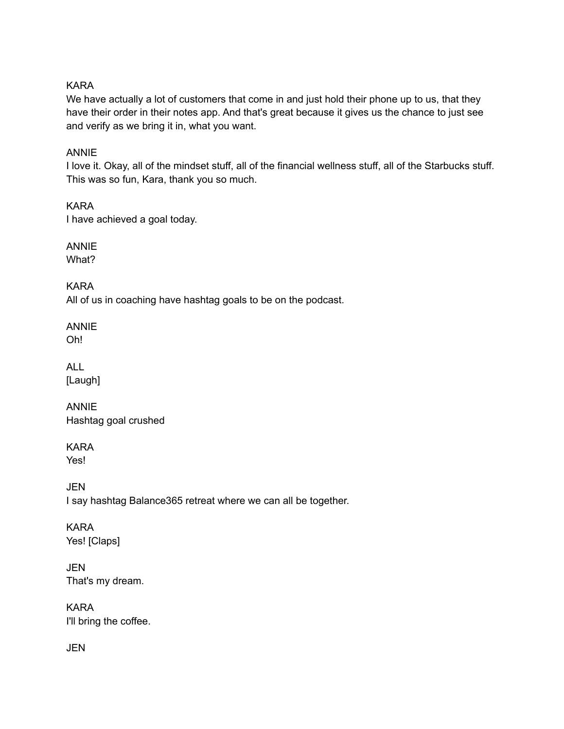# KARA

We have actually a lot of customers that come in and just hold their phone up to us, that they have their order in their notes app. And that's great because it gives us the chance to just see and verify as we bring it in, what you want.

# ANNIE

I love it. Okay, all of the mindset stuff, all of the financial wellness stuff, all of the Starbucks stuff. This was so fun, Kara, thank you so much.

KARA I have achieved a goal today.

ANNIE What?

KARA All of us in coaching have hashtag goals to be on the podcast.

ANNIE Oh!

ALL [Laugh]

ANNIE Hashtag goal crushed

KARA Yes!

**JEN** I say hashtag Balance365 retreat where we can all be together.

KARA Yes! [Claps]

JEN That's my dream.

KARA I'll bring the coffee.

JEN